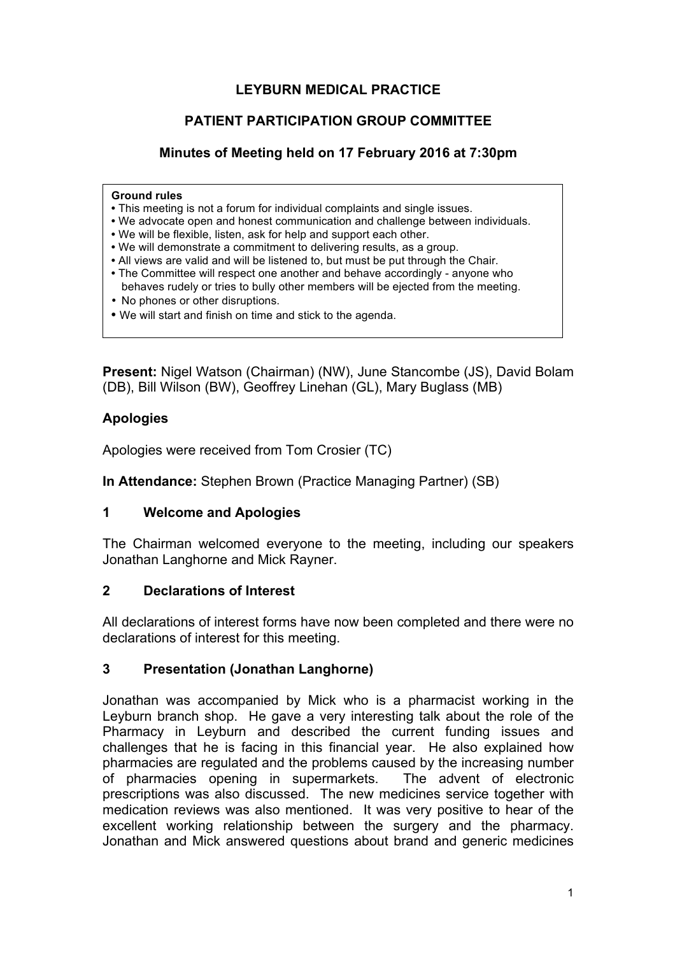# **LEYBURN MEDICAL PRACTICE**

### **PATIENT PARTICIPATION GROUP COMMITTEE**

### **Minutes of Meeting held on 17 February 2016 at 7:30pm**

#### **Ground rules**

- This meeting is not a forum for individual complaints and single issues.
- We advocate open and honest communication and challenge between individuals.
- We will be flexible, listen, ask for help and support each other.
- We will demonstrate a commitment to delivering results, as a group.
- All views are valid and will be listened to, but must be put through the Chair.
- The Committee will respect one another and behave accordingly anyone who behaves rudely or tries to bully other members will be ejected from the meeting.
- No phones or other disruptions.
- We will start and finish on time and stick to the agenda.

**Present:** Nigel Watson (Chairman) (NW), June Stancombe (JS), David Bolam (DB), Bill Wilson (BW), Geoffrey Linehan (GL), Mary Buglass (MB)

#### **Apologies**

Apologies were received from Tom Crosier (TC)

**In Attendance:** Stephen Brown (Practice Managing Partner) (SB)

#### **1 Welcome and Apologies**

The Chairman welcomed everyone to the meeting, including our speakers Jonathan Langhorne and Mick Rayner.

#### **2 Declarations of Interest**

All declarations of interest forms have now been completed and there were no declarations of interest for this meeting.

#### **3 Presentation (Jonathan Langhorne)**

Jonathan was accompanied by Mick who is a pharmacist working in the Leyburn branch shop. He gave a very interesting talk about the role of the Pharmacy in Leyburn and described the current funding issues and challenges that he is facing in this financial year. He also explained how pharmacies are regulated and the problems caused by the increasing number of pharmacies opening in supermarkets. The advent of electronic prescriptions was also discussed. The new medicines service together with medication reviews was also mentioned. It was very positive to hear of the excellent working relationship between the surgery and the pharmacy. Jonathan and Mick answered questions about brand and generic medicines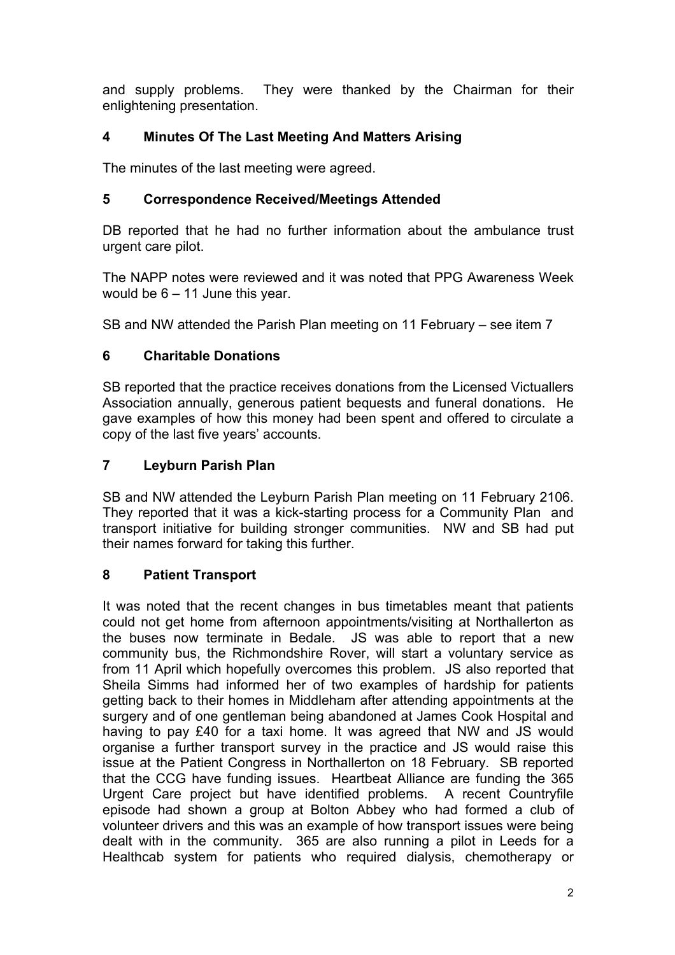and supply problems. They were thanked by the Chairman for their enlightening presentation.

# **4 Minutes Of The Last Meeting And Matters Arising**

The minutes of the last meeting were agreed.

# **5 Correspondence Received/Meetings Attended**

DB reported that he had no further information about the ambulance trust urgent care pilot.

The NAPP notes were reviewed and it was noted that PPG Awareness Week would be 6 – 11 June this year.

SB and NW attended the Parish Plan meeting on 11 February – see item 7

# **6 Charitable Donations**

SB reported that the practice receives donations from the Licensed Victuallers Association annually, generous patient bequests and funeral donations. He gave examples of how this money had been spent and offered to circulate a copy of the last five years' accounts.

# **7 Leyburn Parish Plan**

SB and NW attended the Leyburn Parish Plan meeting on 11 February 2106. They reported that it was a kick-starting process for a Community Plan and transport initiative for building stronger communities. NW and SB had put their names forward for taking this further.

### **8 Patient Transport**

It was noted that the recent changes in bus timetables meant that patients could not get home from afternoon appointments/visiting at Northallerton as the buses now terminate in Bedale. JS was able to report that a new community bus, the Richmondshire Rover, will start a voluntary service as from 11 April which hopefully overcomes this problem. JS also reported that Sheila Simms had informed her of two examples of hardship for patients getting back to their homes in Middleham after attending appointments at the surgery and of one gentleman being abandoned at James Cook Hospital and having to pay £40 for a taxi home. It was agreed that NW and JS would organise a further transport survey in the practice and JS would raise this issue at the Patient Congress in Northallerton on 18 February. SB reported that the CCG have funding issues. Heartbeat Alliance are funding the 365 Urgent Care project but have identified problems. A recent Countryfile episode had shown a group at Bolton Abbey who had formed a club of volunteer drivers and this was an example of how transport issues were being dealt with in the community. 365 are also running a pilot in Leeds for a Healthcab system for patients who required dialysis, chemotherapy or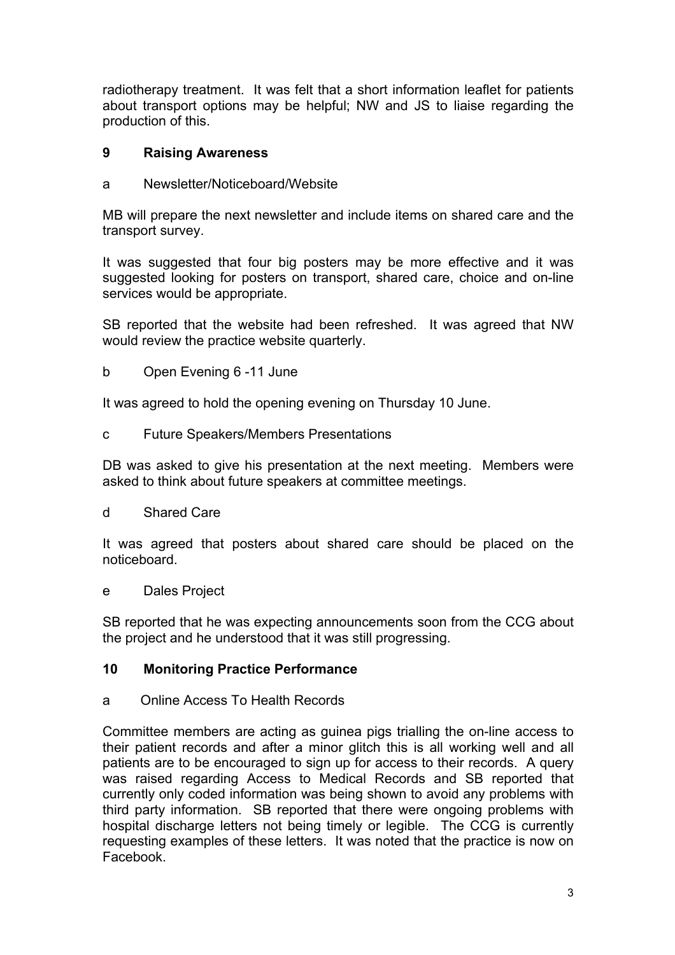radiotherapy treatment. It was felt that a short information leaflet for patients about transport options may be helpful; NW and JS to liaise regarding the production of this.

### **9 Raising Awareness**

a Newsletter/Noticeboard/Website

MB will prepare the next newsletter and include items on shared care and the transport survey.

It was suggested that four big posters may be more effective and it was suggested looking for posters on transport, shared care, choice and on-line services would be appropriate.

SB reported that the website had been refreshed. It was agreed that NW would review the practice website quarterly.

b Open Evening 6 -11 June

It was agreed to hold the opening evening on Thursday 10 June.

c Future Speakers/Members Presentations

DB was asked to give his presentation at the next meeting. Members were asked to think about future speakers at committee meetings.

d Shared Care

It was agreed that posters about shared care should be placed on the noticeboard.

e Dales Project

SB reported that he was expecting announcements soon from the CCG about the project and he understood that it was still progressing.

### **10 Monitoring Practice Performance**

a Online Access To Health Records

Committee members are acting as guinea pigs trialling the on-line access to their patient records and after a minor glitch this is all working well and all patients are to be encouraged to sign up for access to their records. A query was raised regarding Access to Medical Records and SB reported that currently only coded information was being shown to avoid any problems with third party information. SB reported that there were ongoing problems with hospital discharge letters not being timely or legible. The CCG is currently requesting examples of these letters. It was noted that the practice is now on Facebook.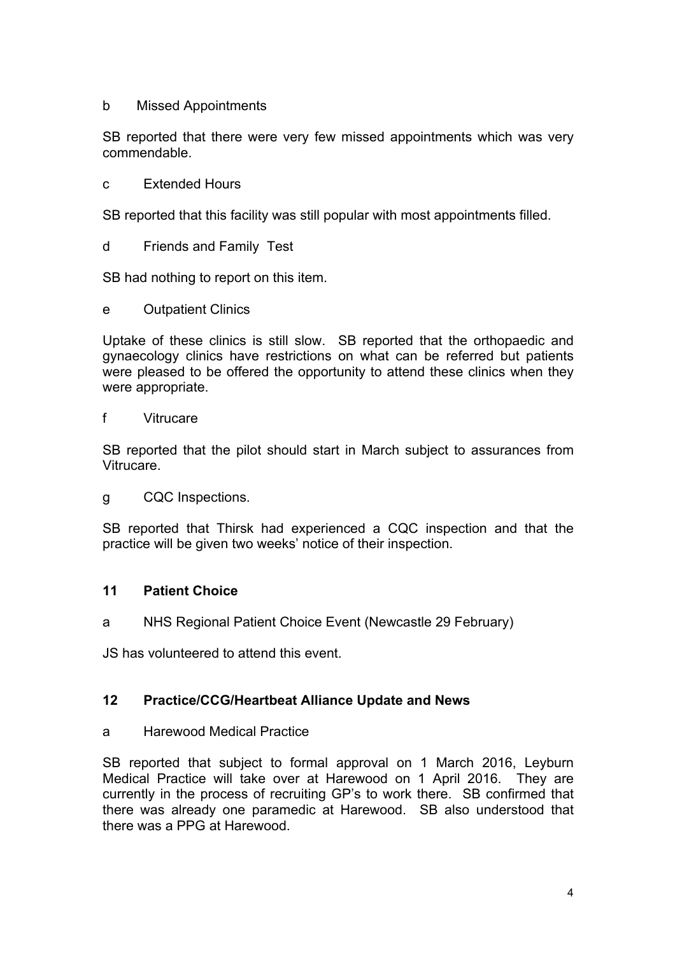#### b Missed Appointments

SB reported that there were very few missed appointments which was very commendable.

c Extended Hours

SB reported that this facility was still popular with most appointments filled.

d Friends and Family Test

SB had nothing to report on this item.

e Outpatient Clinics

Uptake of these clinics is still slow. SB reported that the orthopaedic and gynaecology clinics have restrictions on what can be referred but patients were pleased to be offered the opportunity to attend these clinics when they were appropriate.

#### f Vitrucare

SB reported that the pilot should start in March subject to assurances from Vitrucare.

g CQC Inspections.

SB reported that Thirsk had experienced a CQC inspection and that the practice will be given two weeks' notice of their inspection.

### **11 Patient Choice**

a NHS Regional Patient Choice Event (Newcastle 29 February)

JS has volunteered to attend this event.

### **12 Practice/CCG/Heartbeat Alliance Update and News**

#### a Harewood Medical Practice

SB reported that subject to formal approval on 1 March 2016, Leyburn Medical Practice will take over at Harewood on 1 April 2016. They are currently in the process of recruiting GP's to work there. SB confirmed that there was already one paramedic at Harewood. SB also understood that there was a PPG at Harewood.